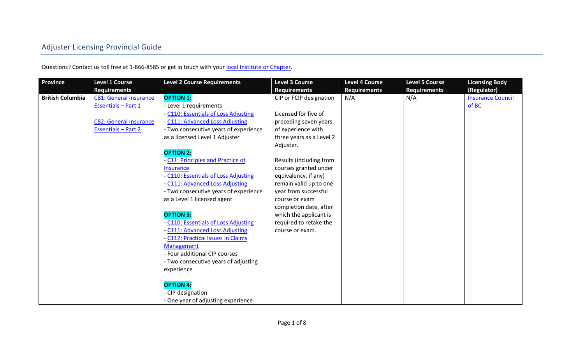# Adjuster Licensing Provincial Guide

Questions? Contact us toll free at 1-866-8585 or get in touch with you[r local Institute or Chapter.](https://web.archive.org/web/20171002014857/http:/www.insuranceinstitute.ca/en/institutes-and-chapters)

| <b>Province</b>         | <b>Level 1 Course</b><br><b>Requirements</b> | <b>Level 2 Course Requirements</b>    | <b>Level 3 Course</b><br><b>Requirements</b> | <b>Level 4 Course</b><br><b>Requirements</b> | <b>Level 5 Course</b><br><b>Requirements</b> | <b>Licensing Body</b><br>(Regulator) |
|-------------------------|----------------------------------------------|---------------------------------------|----------------------------------------------|----------------------------------------------|----------------------------------------------|--------------------------------------|
| <b>British Columbia</b> | <b>C81: General Insurance</b>                | <b>OPTION 1:</b>                      | CIP or FCIP designation                      | N/A                                          | N/A                                          | <b>Insurance Council</b>             |
|                         | <b>Essentials - Part 1</b>                   | - Level 1 requirements                |                                              |                                              |                                              | of BC                                |
|                         |                                              | - C110: Essentials of Loss Adjusting  | Licensed for five of                         |                                              |                                              |                                      |
|                         | <b>C82: General Insurance</b>                | - C111: Advanced Loss Adjusting       | preceding seven years                        |                                              |                                              |                                      |
|                         | <b>Essentials - Part 2</b>                   | - Two consecutive years of experience | of experience with                           |                                              |                                              |                                      |
|                         |                                              | as a licensed Level 1 Adjuster        | three years as a Level 2                     |                                              |                                              |                                      |
|                         |                                              |                                       | Adjuster.                                    |                                              |                                              |                                      |
|                         |                                              | <b>OPTION 2:</b>                      |                                              |                                              |                                              |                                      |
|                         |                                              | - C11: Principles and Practice of     | Results (including from                      |                                              |                                              |                                      |
|                         |                                              | <b>Insurance</b>                      | courses granted under                        |                                              |                                              |                                      |
|                         |                                              | - C110: Essentials of Loss Adjusting  | equivalency, if any)                         |                                              |                                              |                                      |
|                         |                                              | - C111: Advanced Loss Adjusting       | remain valid up to one                       |                                              |                                              |                                      |
|                         |                                              | - Two consecutive years of experience | year from successful                         |                                              |                                              |                                      |
|                         |                                              | as a Level 1 licensed agent           | course or exam                               |                                              |                                              |                                      |
|                         |                                              |                                       | completion date, after                       |                                              |                                              |                                      |
|                         |                                              | <b>OPTION 3:</b>                      | which the applicant is                       |                                              |                                              |                                      |
|                         |                                              | - C110: Essentials of Loss Adjusting  | required to retake the                       |                                              |                                              |                                      |
|                         |                                              | - C111: Advanced Loss Adjusting       | course or exam.                              |                                              |                                              |                                      |
|                         |                                              | - C112: Practical Issues in Claims    |                                              |                                              |                                              |                                      |
|                         |                                              | Management                            |                                              |                                              |                                              |                                      |
|                         |                                              | - Four additional CIP courses         |                                              |                                              |                                              |                                      |
|                         |                                              | - Two consecutive years of adjusting  |                                              |                                              |                                              |                                      |
|                         |                                              | experience                            |                                              |                                              |                                              |                                      |
|                         |                                              | <b>OPTION 4:</b>                      |                                              |                                              |                                              |                                      |
|                         |                                              | - CIP designation                     |                                              |                                              |                                              |                                      |
|                         |                                              | - One year of adjusting experience    |                                              |                                              |                                              |                                      |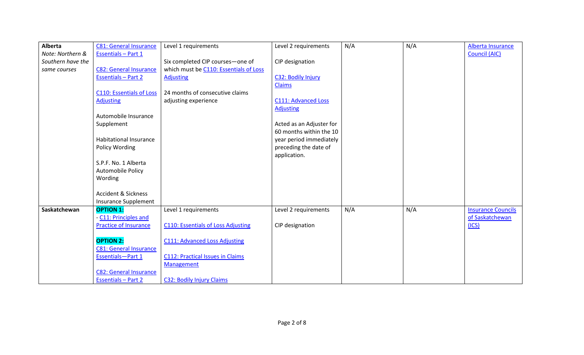| Alberta           | <b>C81: General Insurance</b>   | Level 1 requirements                      | Level 2 requirements       | N/A | N/A | Alberta Insurance         |
|-------------------|---------------------------------|-------------------------------------------|----------------------------|-----|-----|---------------------------|
| Note: Northern &  | <b>Essentials - Part 1</b>      |                                           |                            |     |     | <b>Council (AIC)</b>      |
| Southern have the |                                 | Six completed CIP courses-one of          | CIP designation            |     |     |                           |
| same courses      | <b>C82: General Insurance</b>   | which must be C110: Essentials of Loss    |                            |     |     |                           |
|                   | <b>Essentials - Part 2</b>      | <b>Adjusting</b>                          | C32: Bodily Injury         |     |     |                           |
|                   |                                 |                                           | <b>Claims</b>              |     |     |                           |
|                   | <b>C110: Essentials of Loss</b> | 24 months of consecutive claims           |                            |     |     |                           |
|                   | <b>Adjusting</b>                | adjusting experience                      | <b>C111: Advanced Loss</b> |     |     |                           |
|                   |                                 |                                           | <b>Adjusting</b>           |     |     |                           |
|                   | Automobile Insurance            |                                           |                            |     |     |                           |
|                   | Supplement                      |                                           | Acted as an Adjuster for   |     |     |                           |
|                   |                                 |                                           | 60 months within the 10    |     |     |                           |
|                   | <b>Habitational Insurance</b>   |                                           | year period immediately    |     |     |                           |
|                   | Policy Wording                  |                                           | preceding the date of      |     |     |                           |
|                   |                                 |                                           | application.               |     |     |                           |
|                   | S.P.F. No. 1 Alberta            |                                           |                            |     |     |                           |
|                   | Automobile Policy               |                                           |                            |     |     |                           |
|                   | Wording                         |                                           |                            |     |     |                           |
|                   | <b>Accident &amp; Sickness</b>  |                                           |                            |     |     |                           |
|                   | <b>Insurance Supplement</b>     |                                           |                            |     |     |                           |
| Saskatchewan      | <b>OPTION 1:</b>                | Level 1 requirements                      | Level 2 requirements       | N/A | N/A | <b>Insurance Councils</b> |
|                   | - C11: Principles and           |                                           |                            |     |     | of Saskatchewan           |
|                   | <b>Practice of Insurance</b>    | <b>C110: Essentials of Loss Adjusting</b> | CIP designation            |     |     | (ICS)                     |
|                   |                                 |                                           |                            |     |     |                           |
|                   | <b>OPTION 2:</b>                | <b>C111: Advanced Loss Adjusting</b>      |                            |     |     |                           |
|                   | <b>C81: General Insurance</b>   |                                           |                            |     |     |                           |
|                   | Essentials-Part 1               | <b>C112: Practical Issues in Claims</b>   |                            |     |     |                           |
|                   |                                 | <b>Management</b>                         |                            |     |     |                           |
|                   | <b>C82: General Insurance</b>   |                                           |                            |     |     |                           |
|                   | <b>Essentials - Part 2</b>      | <b>C32: Bodily Injury Claims</b>          |                            |     |     |                           |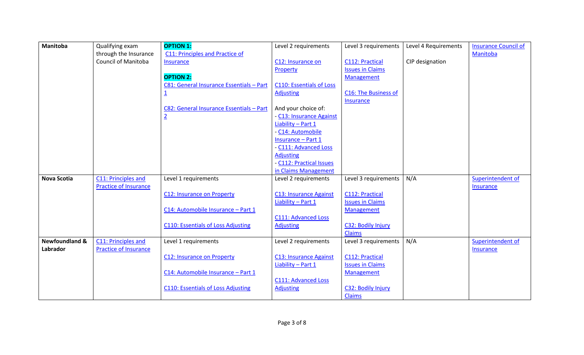| <b>Manitoba</b>           | Qualifying exam              | <b>OPTION 1:</b>                          | Level 2 requirements            | Level 3 requirements         | Level 4 Requirements | <b>Insurance Council of</b> |
|---------------------------|------------------------------|-------------------------------------------|---------------------------------|------------------------------|----------------------|-----------------------------|
|                           | through the Insurance        | C11: Principles and Practice of           |                                 |                              |                      | Manitoba                    |
|                           | <b>Council of Manitoba</b>   | Insurance                                 | C12: Insurance on               | C112: Practical              | CIP designation      |                             |
|                           |                              |                                           | Property                        | <b>Issues in Claims</b>      |                      |                             |
|                           |                              | <b>OPTION 2:</b>                          |                                 | Management                   |                      |                             |
|                           |                              | C81: General Insurance Essentials - Part  | <b>C110: Essentials of Loss</b> |                              |                      |                             |
|                           |                              | <u>1</u>                                  | <b>Adjusting</b>                | C16: The Business of         |                      |                             |
|                           |                              |                                           |                                 | <b>Insurance</b>             |                      |                             |
|                           |                              | C82: General Insurance Essentials - Part  | And your choice of:             |                              |                      |                             |
|                           |                              | $\overline{2}$                            | - C13: Insurance Against        |                              |                      |                             |
|                           |                              |                                           | Liability - Part 1              |                              |                      |                             |
|                           |                              |                                           | - C14: Automobile               |                              |                      |                             |
|                           |                              |                                           | <b>Insurance - Part 1</b>       |                              |                      |                             |
|                           |                              |                                           | - C111: Advanced Loss           |                              |                      |                             |
|                           |                              |                                           | <b>Adjusting</b>                |                              |                      |                             |
|                           |                              |                                           | - C112: Practical Issues        |                              |                      |                             |
|                           |                              |                                           | in Claims Management            |                              |                      |                             |
| <b>Nova Scotia</b>        | C11: Principles and          | Level 1 requirements                      | Level 2 requirements            | Level 3 requirements         | N/A                  | Superintendent of           |
|                           | <b>Practice of Insurance</b> |                                           |                                 |                              |                      | <b>Insurance</b>            |
|                           |                              | <b>C12: Insurance on Property</b>         | <b>C13: Insurance Against</b>   | C112: Practical              |                      |                             |
|                           |                              |                                           | Liability - Part 1              | <b>Issues in Claims</b>      |                      |                             |
|                           |                              | C14: Automobile Insurance - Part 1        |                                 | Management                   |                      |                             |
|                           |                              |                                           | <b>C111: Advanced Loss</b>      |                              |                      |                             |
|                           |                              | <b>C110: Essentials of Loss Adjusting</b> | <b>Adjusting</b>                | C32: Bodily Injury<br>Claims |                      |                             |
| <b>Newfoundland &amp;</b> | C11: Principles and          | Level 1 requirements                      | Level 2 requirements            | Level 3 requirements         | N/A                  | Superintendent of           |
| Labrador                  | Practice of Insurance        |                                           |                                 |                              |                      |                             |
|                           |                              | <b>C12: Insurance on Property</b>         | <b>C13: Insurance Against</b>   | C112: Practical              |                      | <b>Insurance</b>            |
|                           |                              |                                           | Liability - Part 1              | <b>Issues in Claims</b>      |                      |                             |
|                           |                              | C14: Automobile Insurance - Part 1        |                                 | <b>Management</b>            |                      |                             |
|                           |                              |                                           | <b>C111: Advanced Loss</b>      |                              |                      |                             |
|                           |                              | <b>C110: Essentials of Loss Adjusting</b> | <b>Adjusting</b>                | C32: Bodily Injury           |                      |                             |
|                           |                              |                                           |                                 | <b>Claims</b>                |                      |                             |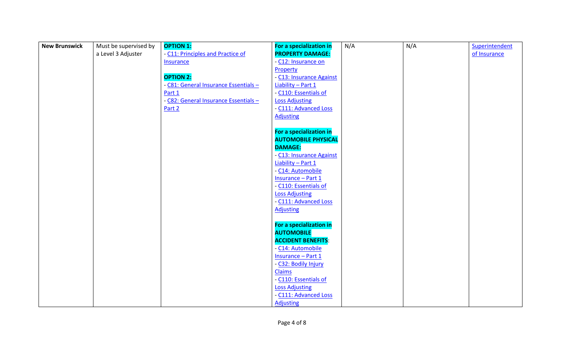| <b>New Brunswick</b> | Must be supervised by | <b>OPTION 1:</b>                      | For a specialization in    | N/A | N/A | Superintendent |
|----------------------|-----------------------|---------------------------------------|----------------------------|-----|-----|----------------|
|                      | a Level 3 Adjuster    | - C11: Principles and Practice of     | <b>PROPERTY DAMAGE:</b>    |     |     | of Insurance   |
|                      |                       | <b>Insurance</b>                      | - C12: Insurance on        |     |     |                |
|                      |                       |                                       | Property                   |     |     |                |
|                      |                       | <b>OPTION 2:</b>                      | - C13: Insurance Against   |     |     |                |
|                      |                       | - C81: General Insurance Essentials - | Liability - Part 1         |     |     |                |
|                      |                       | Part 1                                | - C110: Essentials of      |     |     |                |
|                      |                       | - C82: General Insurance Essentials - | <b>Loss Adjusting</b>      |     |     |                |
|                      |                       | Part 2                                | - C111: Advanced Loss      |     |     |                |
|                      |                       |                                       | <b>Adjusting</b>           |     |     |                |
|                      |                       |                                       |                            |     |     |                |
|                      |                       |                                       | For a specialization in    |     |     |                |
|                      |                       |                                       | <b>AUTOMOBILE PHYSICAL</b> |     |     |                |
|                      |                       |                                       | <b>DAMAGE:</b>             |     |     |                |
|                      |                       |                                       | - C13: Insurance Against   |     |     |                |
|                      |                       |                                       | Liability - Part 1         |     |     |                |
|                      |                       |                                       | - C14: Automobile          |     |     |                |
|                      |                       |                                       | Insurance - Part 1         |     |     |                |
|                      |                       |                                       | - C110: Essentials of      |     |     |                |
|                      |                       |                                       | <b>Loss Adjusting</b>      |     |     |                |
|                      |                       |                                       | - C111: Advanced Loss      |     |     |                |
|                      |                       |                                       | <b>Adjusting</b>           |     |     |                |
|                      |                       |                                       | For a specialization in    |     |     |                |
|                      |                       |                                       | <b>AUTOMOBILE</b>          |     |     |                |
|                      |                       |                                       | <b>ACCIDENT BENEFITS:</b>  |     |     |                |
|                      |                       |                                       | - C14: Automobile          |     |     |                |
|                      |                       |                                       | Insurance - Part 1         |     |     |                |
|                      |                       |                                       | - C32: Bodily Injury       |     |     |                |
|                      |                       |                                       | <b>Claims</b>              |     |     |                |
|                      |                       |                                       | - C110: Essentials of      |     |     |                |
|                      |                       |                                       | <b>Loss Adjusting</b>      |     |     |                |
|                      |                       |                                       | - C111: Advanced Loss      |     |     |                |
|                      |                       |                                       | <b>Adjusting</b>           |     |     |                |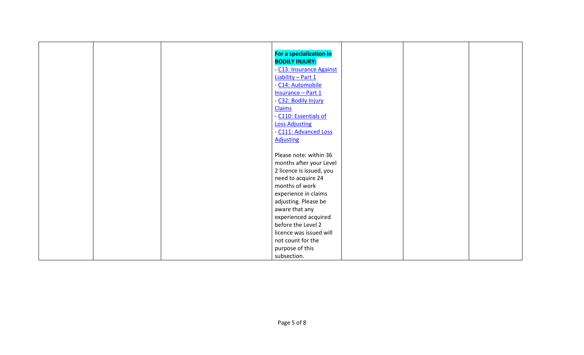|                       | For a specialization in  |  |
|-----------------------|--------------------------|--|
|                       | <b>BODILY INJURY:</b>    |  |
|                       | - C13: Insurance Against |  |
|                       | Liability - Part 1       |  |
|                       | - C14: Automobile        |  |
|                       | Insurance - Part 1       |  |
|                       | - C32: Bodily Injury     |  |
| <b>Claims</b>         |                          |  |
|                       | - C110: Essentials of    |  |
| <b>Loss Adjusting</b> |                          |  |
|                       | - C111: Advanced Loss    |  |
| <b>Adjusting</b>      |                          |  |
|                       |                          |  |
|                       | Please note: within 36   |  |
|                       | months after your Level  |  |
|                       | 2 licence is issued, you |  |
|                       | need to acquire 24       |  |
|                       | months of work           |  |
|                       | experience in claims     |  |
|                       | adjusting. Please be     |  |
|                       | aware that any           |  |
|                       | experienced acquired     |  |
|                       | before the Level 2       |  |
|                       | licence was issued will  |  |
|                       | not count for the        |  |
|                       | purpose of this          |  |
| subsection.           |                          |  |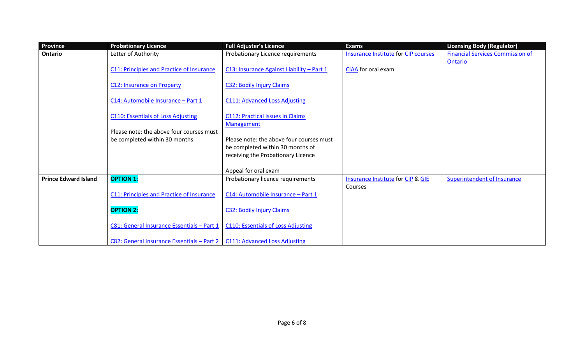| Province                    | <b>Probationary Licence</b>                      | <b>Full Adjuster's Licence</b>                               | <b>Exams</b>                               | <b>Licensing Body (Regulator)</b>       |
|-----------------------------|--------------------------------------------------|--------------------------------------------------------------|--------------------------------------------|-----------------------------------------|
| Ontario                     | Letter of Authority                              | Probationary Licence requirements                            | <b>Insurance Institute for CIP courses</b> | <b>Financial Services Commission of</b> |
|                             | C11: Principles and Practice of Insurance        | C13: Insurance Against Liability - Part 1                    | CIAA for oral exam                         | Ontario                                 |
|                             | <b>C12: Insurance on Property</b>                | <b>C32: Bodily Injury Claims</b>                             |                                            |                                         |
|                             | C14: Automobile Insurance - Part 1               | <b>C111: Advanced Loss Adjusting</b>                         |                                            |                                         |
|                             | <b>C110: Essentials of Loss Adjusting</b>        | <b>C112: Practical Issues in Claims</b><br><b>Management</b> |                                            |                                         |
|                             | Please note: the above four courses must         |                                                              |                                            |                                         |
|                             | be completed within 30 months                    | Please note: the above four courses must                     |                                            |                                         |
|                             |                                                  | be completed within 30 months of                             |                                            |                                         |
|                             |                                                  | receiving the Probationary Licence                           |                                            |                                         |
|                             |                                                  | Appeal for oral exam                                         |                                            |                                         |
| <b>Prince Edward Island</b> | <b>OPTION 1:</b>                                 | Probationary licence requirements                            | Insurance Institute for CIP & GIE          | Superintendent of Insurance             |
|                             | <b>C11: Principles and Practice of Insurance</b> | C14: Automobile Insurance - Part 1                           | Courses                                    |                                         |
|                             | <b>OPTION 2:</b>                                 | <b>C32: Bodily Injury Claims</b>                             |                                            |                                         |
|                             | C81: General Insurance Essentials - Part 1       | <b>C110: Essentials of Loss Adjusting</b>                    |                                            |                                         |
|                             | C82: General Insurance Essentials - Part 2       | <b>C111: Advanced Loss Adjusting</b>                         |                                            |                                         |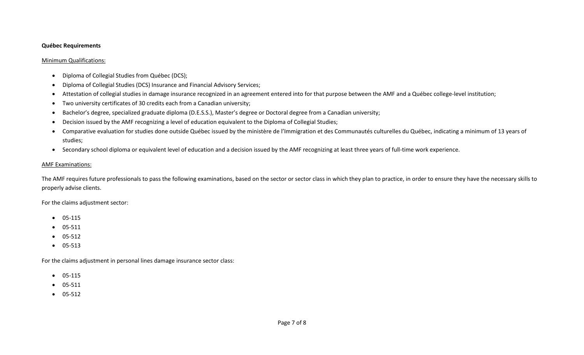#### **Québec Requirements**

#### Minimum Qualifications:

- Diploma of Collegial Studies from Québec (DCS);
- Diploma of Collegial Studies (DCS) Insurance and Financial Advisory Services;
- Attestation of collegial studies in damage insurance recognized in an agreement entered into for that purpose between the AMF and a Québec college-level institution;
- Two university certificates of 30 credits each from a Canadian university;
- Bachelor's degree, specialized graduate diploma (D.E.S.S.), Master's degree or Doctoral degree from a Canadian university;
- Decision issued by the AMF recognizing a level of education equivalent to the Diploma of Collegial Studies;
- Comparative evaluation for studies done outside Québec issued by the ministère de l'Immigration et des Communautés culturelles du Québec, indicating a minimum of 13 years of studies;
- Secondary school diploma or equivalent level of education and a decision issued by the AMF recognizing at least three years of full-time work experience.

## AMF Examinations:

The AMF requires future professionals to pass the following examinations, based on the sector or sector class in which they plan to practice, in order to ensure they have the necessary skills to properly advise clients.

For the claims adjustment sector:

- $\bullet$  05-115
- 05-511
- $\bullet$  05-512
- $05-513$

For the claims adjustment in personal lines damage insurance sector class:

- $\bullet$  05-115
- 05-511
- 05-512